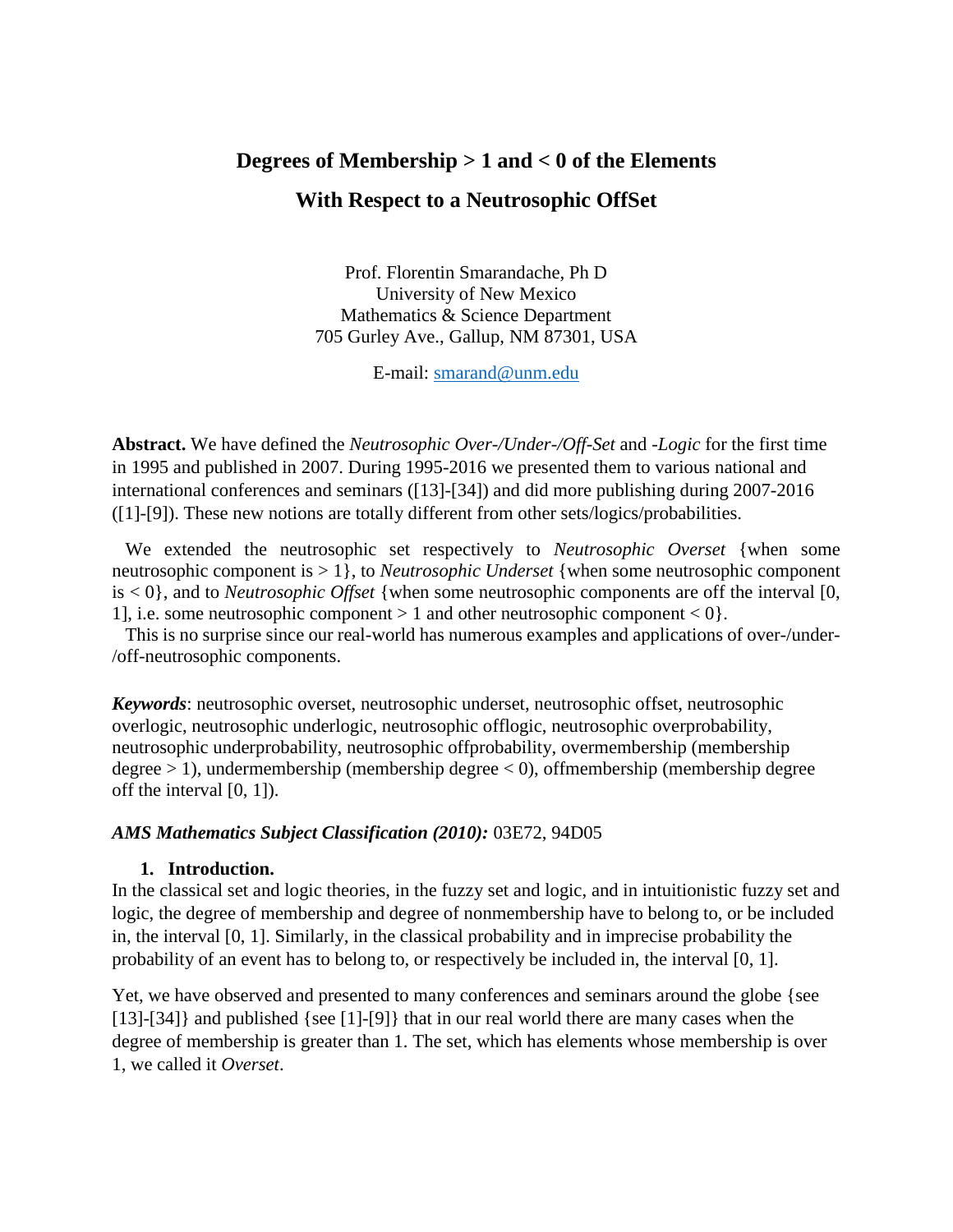# **Degrees of Membership > 1 and < 0 of the Elements With Respect to a Neutrosophic OffSet**

Prof. Florentin Smarandache, Ph D University of New Mexico Mathematics & Science Department 705 Gurley Ave., Gallup, NM 87301, USA

E-mail: [smarand@unm.edu](mailto:smarand@unm.edu)

**Abstract.** We have defined the *Neutrosophic Over-/Under-/Off-Set* and *-Logic* for the first time in 1995 and published in 2007. During 1995-2016 we presented them to various national and international conferences and seminars ([13]-[34]) and did more publishing during 2007-2016 ([1]-[9]). These new notions are totally different from other sets/logics/probabilities.

We extended the neutrosophic set respectively to *Neutrosophic Overset* {when some neutrosophic component is > 1}, to *Neutrosophic Underset* {when some neutrosophic component is < 0}, and to *Neutrosophic Offset* {when some neutrosophic components are off the interval [0, 1], i.e. some neutrosophic component  $> 1$  and other neutrosophic component  $< 0$ .

This is no surprise since our real-world has numerous examples and applications of over-/under- /off-neutrosophic components.

*Keywords*: neutrosophic overset, neutrosophic underset, neutrosophic offset, neutrosophic overlogic, neutrosophic underlogic, neutrosophic offlogic, neutrosophic overprobability, neutrosophic underprobability, neutrosophic offprobability, overmembership (membership degree > 1), undermembership (membership degree < 0), offmembership (membership degree off the interval [0, 1]).

#### *AMS Mathematics Subject Classification (2010):* 03E72, 94D05

#### **1. Introduction.**

In the classical set and logic theories, in the fuzzy set and logic, and in intuitionistic fuzzy set and logic, the degree of membership and degree of nonmembership have to belong to, or be included in, the interval [0, 1]. Similarly, in the classical probability and in imprecise probability the probability of an event has to belong to, or respectively be included in, the interval [0, 1].

Yet, we have observed and presented to many conferences and seminars around the globe {see [13]-[34]} and published {see [1]-[9]} that in our real world there are many cases when the degree of membership is greater than 1. The set, which has elements whose membership is over 1, we called it *Overset*.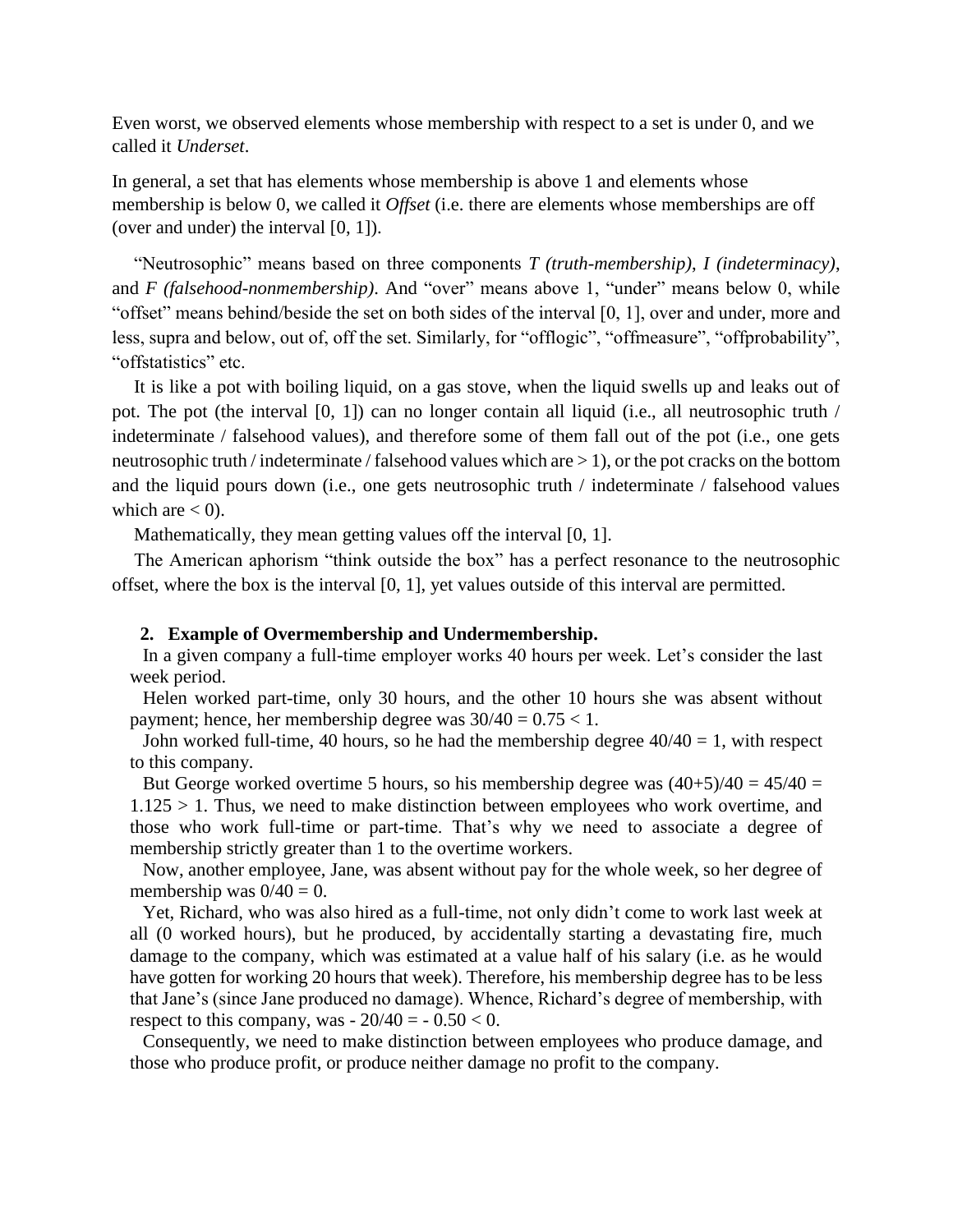Even worst, we observed elements whose membership with respect to a set is under 0, and we called it *Underset*.

In general, a set that has elements whose membership is above 1 and elements whose membership is below 0, we called it *Offset* (i.e. there are elements whose memberships are off (over and under) the interval [0, 1]).

"Neutrosophic" means based on three components *T (truth-membership)*, *I (indeterminacy)*, and *F (falsehood-nonmembership)*. And "over" means above 1, "under" means below 0, while "offset" means behind/beside the set on both sides of the interval [0, 1], over and under, more and less, supra and below, out of, off the set. Similarly, for "offlogic", "offmeasure", "offprobability", "offstatistics" etc.

It is like a pot with boiling liquid, on a gas stove, when the liquid swells up and leaks out of pot. The pot (the interval [0, 1]) can no longer contain all liquid (i.e., all neutrosophic truth / indeterminate / falsehood values), and therefore some of them fall out of the pot (i.e., one gets neutrosophic truth / indeterminate / falsehood values which are > 1), or the pot cracks on the bottom and the liquid pours down (i.e., one gets neutrosophic truth / indeterminate / falsehood values which are  $< 0$ ).

Mathematically, they mean getting values off the interval [0, 1].

The American aphorism "think outside the box" has a perfect resonance to the neutrosophic offset, where the box is the interval [0, 1], yet values outside of this interval are permitted.

#### **2. Example of Overmembership and Undermembership.**

In a given company a full-time employer works 40 hours per week. Let's consider the last week period.

Helen worked part-time, only 30 hours, and the other 10 hours she was absent without payment; hence, her membership degree was  $30/40 = 0.75 < 1$ .

John worked full-time, 40 hours, so he had the membership degree  $40/40 = 1$ , with respect to this company.

But George worked overtime 5 hours, so his membership degree was  $(40+5)/40 = 45/40 =$  $1.125 > 1$ . Thus, we need to make distinction between employees who work overtime, and those who work full-time or part-time. That's why we need to associate a degree of membership strictly greater than 1 to the overtime workers.

Now, another employee, Jane, was absent without pay for the whole week, so her degree of membership was  $0/40 = 0$ .

Yet, Richard, who was also hired as a full-time, not only didn't come to work last week at all (0 worked hours), but he produced, by accidentally starting a devastating fire, much damage to the company, which was estimated at a value half of his salary (i.e. as he would have gotten for working 20 hours that week). Therefore, his membership degree has to be less that Jane's (since Jane produced no damage). Whence, Richard's degree of membership, with respect to this company, was  $-20/40 = -0.50 < 0$ .

Consequently, we need to make distinction between employees who produce damage, and those who produce profit, or produce neither damage no profit to the company.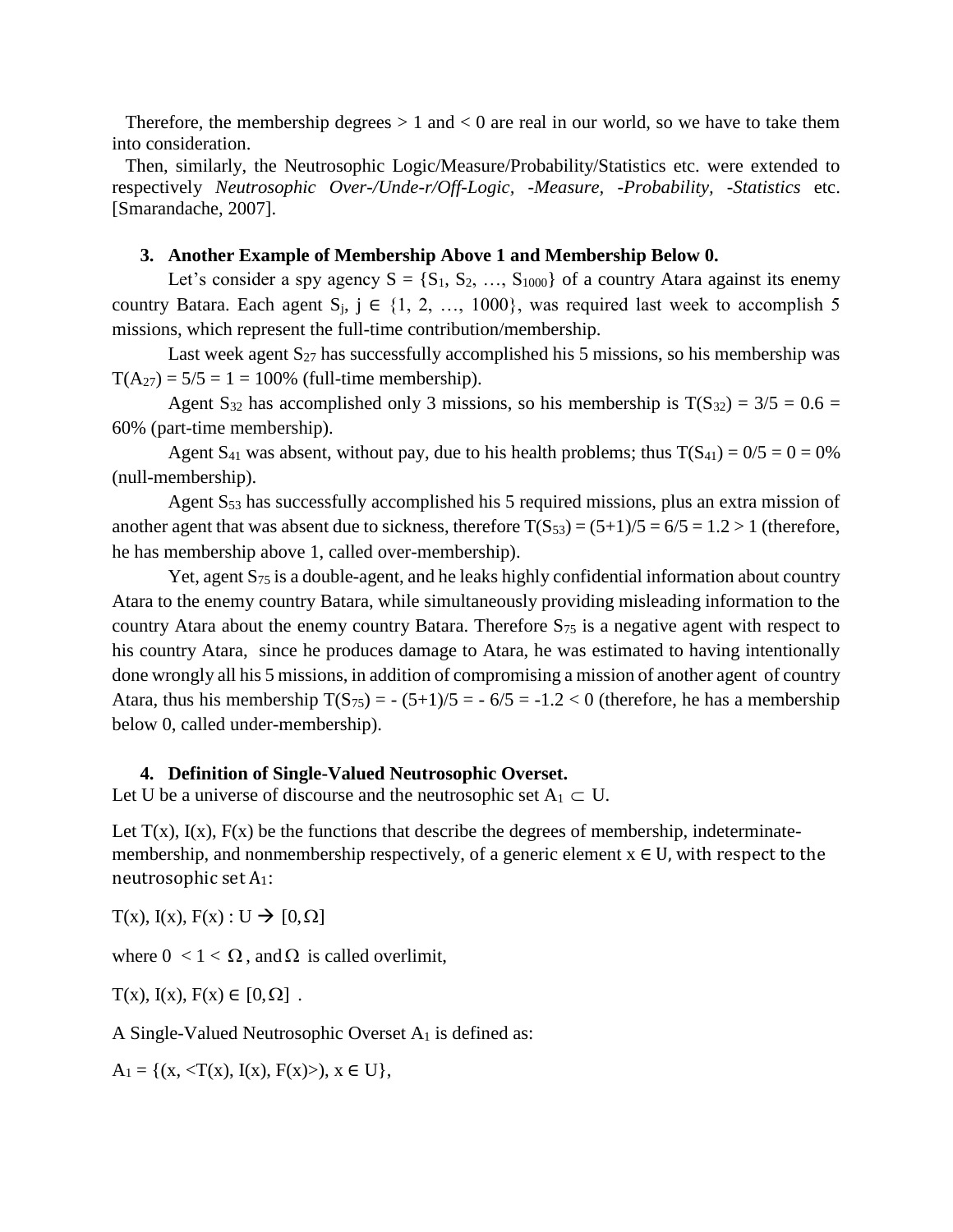Therefore, the membership degrees  $> 1$  and  $< 0$  are real in our world, so we have to take them into consideration.

Then, similarly, the Neutrosophic Logic/Measure/Probability/Statistics etc. were extended to respectively *Neutrosophic Over-/Unde-r/Off-Logic, -Measure, -Probability, -Statistics* etc. [Smarandache, 2007].

#### **3. Another Example of Membership Above 1 and Membership Below 0.**

Let's consider a spy agency  $S = \{S_1, S_2, ..., S_{1000}\}\$  of a country Atara against its enemy country Batara. Each agent  $S_i$ ,  $j \in \{1, 2, ..., 1000\}$ , was required last week to accomplish 5 missions, which represent the full-time contribution/membership.

Last week agent  $S_{27}$  has successfully accomplished his 5 missions, so his membership was  $T(A_{27}) = 5/5 = 1 = 100\%$  (full-time membership).

Agent S<sub>32</sub> has accomplished only 3 missions, so his membership is  $T(S_{32}) = 3/5 = 0.6 =$ 60% (part-time membership).

Agent S<sub>41</sub> was absent, without pay, due to his health problems; thus  $T(S_{41}) = 0/5 = 0 = 0\%$ (null-membership).

Agent  $S_{53}$  has successfully accomplished his 5 required missions, plus an extra mission of another agent that was absent due to sickness, therefore  $T(S_{53}) = (5+1)/5 = 6/5 = 1.2 > 1$  (therefore, he has membership above 1, called over-membership).

Yet, agent S<sub>75</sub> is a double-agent, and he leaks highly confidential information about country Atara to the enemy country Batara, while simultaneously providing misleading information to the country Atara about the enemy country Batara. Therefore  $S_{75}$  is a negative agent with respect to his country Atara, since he produces damage to Atara, he was estimated to having intentionally done wrongly all his 5 missions, in addition of compromising a mission of another agent of country Atara, thus his membership  $T(S_{75}) = -\frac{(5+1)}{5} = -\frac{6}{5} = -1.2 < 0$  (therefore, he has a membership below 0, called under-membership).

#### **4. Definition of Single-Valued Neutrosophic Overset.**

Let U be a universe of discourse and the neutrosophic set  $A_1 \subset U$ .

Let  $T(x)$ ,  $I(x)$ ,  $F(x)$  be the functions that describe the degrees of membership, indeterminatemembership, and nonmembership respectively, of a generic element  $x \in U$ , with respect to the neutrosophic set A1:

 $T(x)$ ,  $I(x)$ ,  $F(x)$ :  $U \rightarrow [0, \Omega]$ 

where  $0 < 1 < \Omega$ , and  $\Omega$  is called overlimit,

 $T(x)$ ,  $I(x)$ ,  $F(x) \in [0, \Omega]$ .

A Single-Valued Neutrosophic Overset  $A_1$  is defined as:

 $A_1 = \{(x, \langle T(x), I(x), F(x) \rangle), x \in U\},\$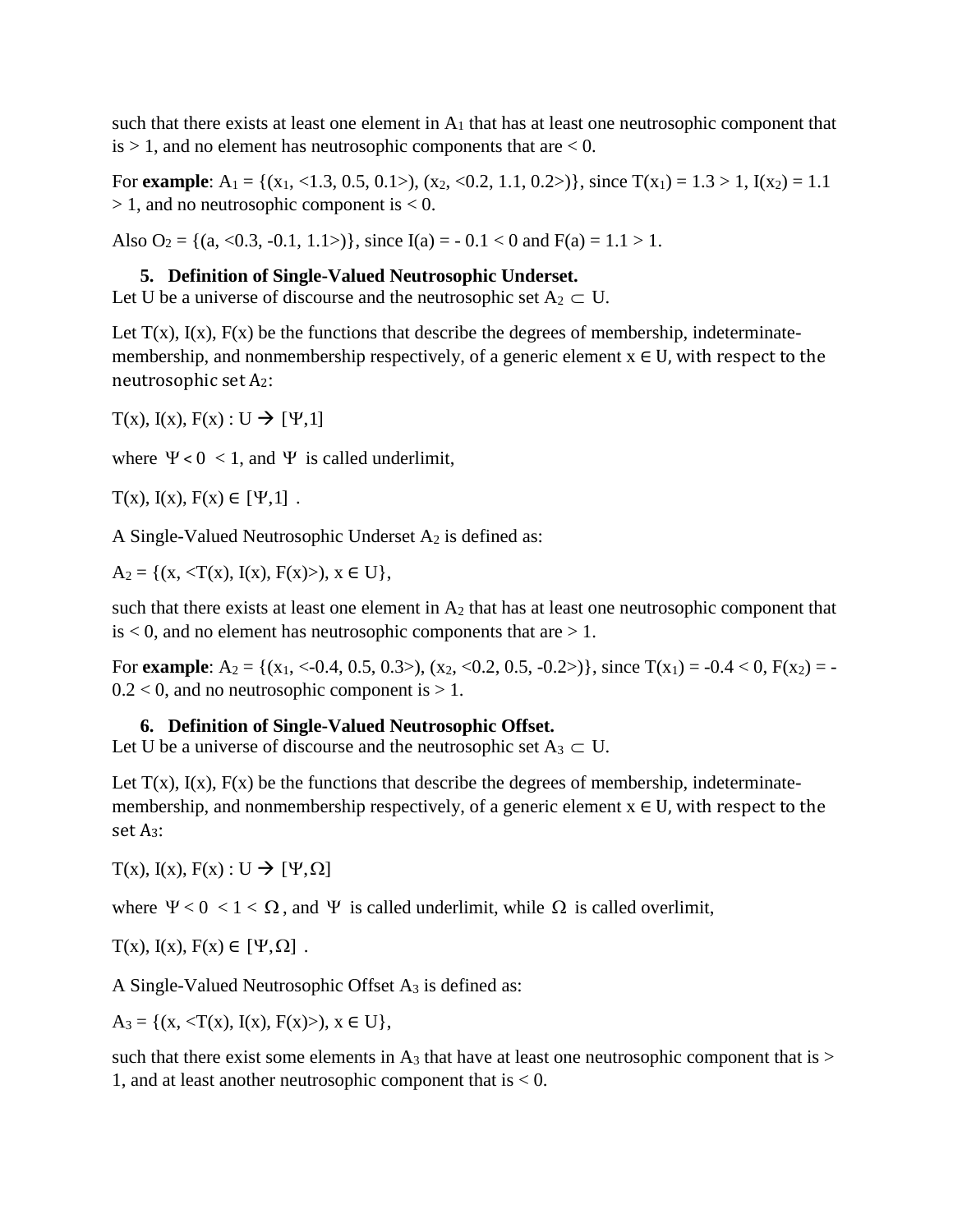such that there exists at least one element in  $A_1$  that has at least one neutrosophic component that  $is > 1$ , and no element has neutrosophic components that are  $< 0$ .

For **example**:  $A_1 = \{(x_1, \langle 1.3, 0.5, 0.1 \rangle), (x_2, \langle 0.2, 1.1, 0.2 \rangle)\}\)$ , since  $T(x_1) = 1.3 > 1$ ,  $I(x_2) = 1.1$  $> 1$ , and no neutrosophic component is  $< 0$ .

Also  $O_2 = \{(a, <0.3, -0.1, 1.1>)\}$ , since  $I(a) = -0.1 < 0$  and  $F(a) = 1.1 > 1$ .

### **5. Definition of Single-Valued Neutrosophic Underset.**

Let U be a universe of discourse and the neutrosophic set  $A_2 \subset U$ .

Let  $T(x)$ ,  $I(x)$ ,  $F(x)$  be the functions that describe the degrees of membership, indeterminatemembership, and nonmembership respectively, of a generic element  $x \in U$ , with respect to the neutrosophic set A2:

 $T(x)$ ,  $I(x)$ ,  $F(x)$ :  $U \rightarrow [Y,1]$ 

where  $\Psi < 0 < 1$ , and  $\Psi$  is called underlimit,

 $T(x)$ ,  $I(x)$ ,  $F(x) \in [\Psi, 1]$ .

A Single-Valued Neutrosophic Underset A<sup>2</sup> is defined as:

 $A_2 = \{(x, \langle T(x), I(x), F(x) \rangle), x \in U\},\$ 

such that there exists at least one element in  $A_2$  that has at least one neutrosophic component that  $is < 0$ , and no element has neutrosophic components that are  $> 1$ .

For **example**:  $A_2 = \{(x_1, \langle -0.4, 0.5, 0.3 \rangle), (x_2, \langle 0.2, 0.5, -0.2 \rangle)\}\)$ , since  $T(x_1) = -0.4 \langle 0, F(x_2) \rangle$  $0.2 < 0$ , and no neutrosophic component is  $> 1$ .

### **6. Definition of Single-Valued Neutrosophic Offset.**

Let U be a universe of discourse and the neutrosophic set  $A_3 \subset U$ .

Let  $T(x)$ ,  $I(x)$ ,  $F(x)$  be the functions that describe the degrees of membership, indeterminatemembership, and nonmembership respectively, of a generic element  $x \in U$ , with respect to the set A3:

 $T(x)$ ,  $I(x)$ ,  $F(x)$ :  $U \rightarrow [Y, \Omega]$ 

where  $\Psi < 0 < 1 < \Omega$ , and  $\Psi$  is called underlimit, while  $\Omega$  is called overlimit,

 $T(x)$ ,  $I(x)$ ,  $F(x) \in [\Psi, \Omega]$ .

A Single-Valued Neutrosophic Offset A<sup>3</sup> is defined as:

 $A_3 = \{(x, \langle T(x), I(x), F(x) \rangle), x \in U\},\$ 

such that there exist some elements in  $A_3$  that have at least one neutrosophic component that is  $>$ 1, and at least another neutrosophic component that is  $< 0$ .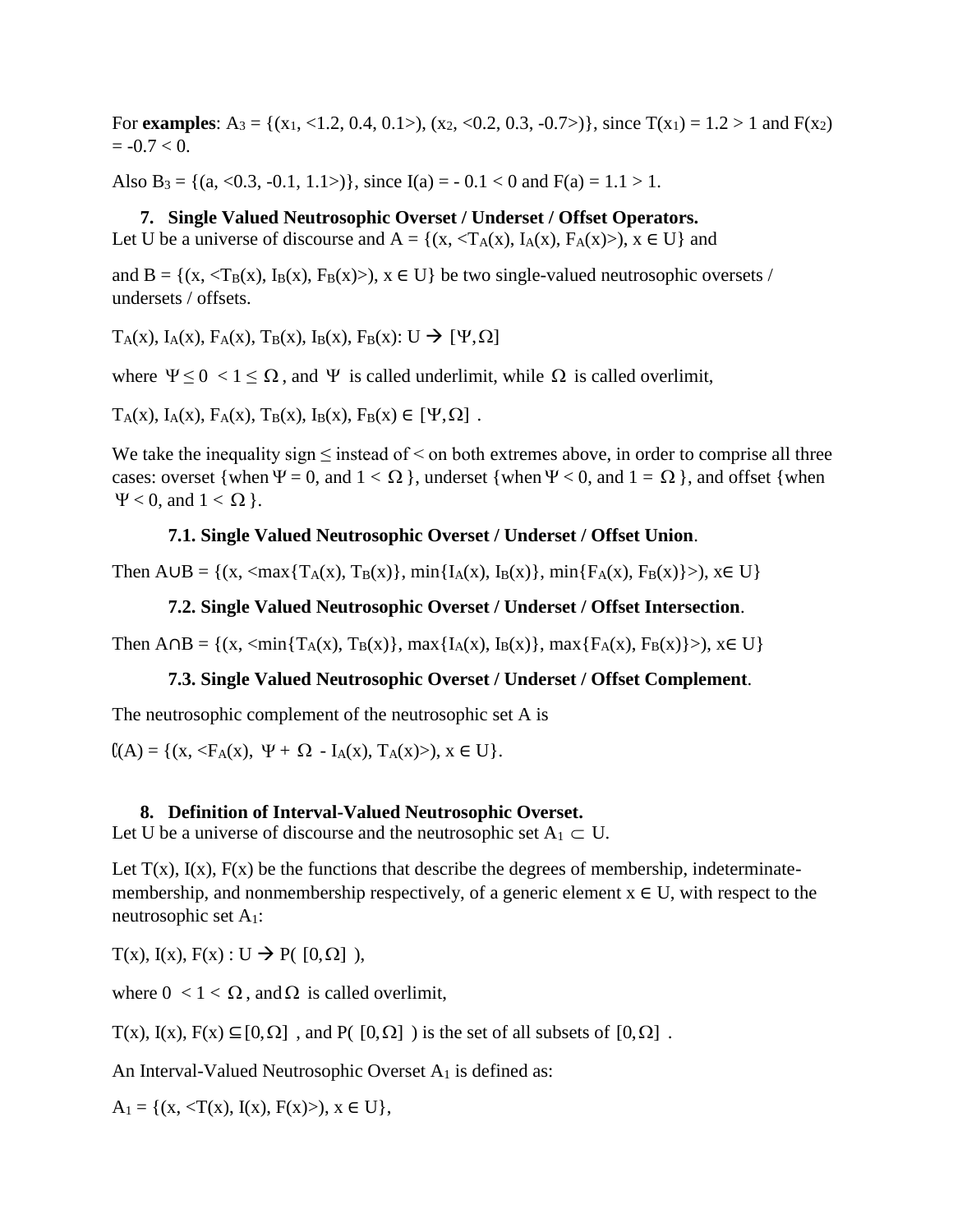For **examples**: A<sub>3</sub> = {(x<sub>1</sub>, <1.2, 0.4, 0.1>), (x<sub>2</sub>, <0.2, 0.3, -0.7>)}, since  $T(x_1) = 1.2 > 1$  and  $F(x_2)$  $= -0.7 < 0.$ 

Also B<sub>3</sub> = {(a, <0.3, -0.1, 1.1>)}, since I(a) = -0.1 < 0 and F(a) = 1.1 > 1.

#### **7. Single Valued Neutrosophic Overset / Underset / Offset Operators.**

Let U be a universe of discourse and  $A = \{(x, \langle T_A(x), I_A(x), F_A(x) \rangle), x \in U\}$  and

and  $B = \{(x, \langle T_B(x), I_B(x), F_B(x) \rangle), x \in U\}$  be two single-valued neutrosophic oversets / undersets / offsets.

 $T_A(x)$ ,  $I_A(x)$ ,  $F_A(x)$ ,  $T_B(x)$ ,  $I_B(x)$ ,  $F_B(x)$ :  $U \rightarrow [\Psi, \Omega]$ 

where  $\Psi \leq 0 < 1 \leq \Omega$ , and  $\Psi$  is called underlimit, while  $\Omega$  is called overlimit,

 $T_A(x)$ ,  $I_A(x)$ ,  $F_A(x)$ ,  $T_B(x)$ ,  $I_B(x)$ ,  $F_B(x) \in [\Psi, \Omega]$ .

We take the inequality sign  $\leq$  instead of  $\leq$  on both extremes above, in order to comprise all three cases: overset {when  $\Psi = 0$ , and  $1 < \Omega$ }, underset {when  $\Psi < 0$ , and  $1 = \Omega$ }, and offset {when  $\Psi$  < 0, and 1 <  $\Omega$  }.

#### **7.1. Single Valued Neutrosophic Overset / Underset / Offset Union**.

Then  $A \cup B = \{(x, \langle max\{T_A(x), T_B(x)\}, min\{I_A(x), I_B(x)\}, min\{F_A(x), F_B(x)\}\rangle), x \in U\}$ 

#### **7.2. Single Valued Neutrosophic Overset / Underset / Offset Intersection**.

Then  $A \cap B = \{(x, \langle min\{T_A(x), T_B(x)\}, max\{I_A(x), I_B(x)\}, max\{F_A(x), F_B(x)\}\rangle), x \in U\}$ 

#### **7.3. Single Valued Neutrosophic Overset / Underset / Offset Complement**.

The neutrosophic complement of the neutrosophic set A is

 $(A) = \{(x, \langle F_A(x), \Psi + \Omega - I_A(x), T_A(x) \rangle), x \in U\}.$ 

#### **8. Definition of Interval-Valued Neutrosophic Overset.**

Let U be a universe of discourse and the neutrosophic set  $A_1 \subset U$ .

Let  $T(x)$ ,  $I(x)$ ,  $F(x)$  be the functions that describe the degrees of membership, indeterminatemembership, and nonmembership respectively, of a generic element  $x \in U$ , with respect to the neutrosophic set A1:

 $T(x)$ ,  $I(x)$ ,  $F(x)$ :  $U \rightarrow P([0,\Omega])$ ,

where  $0 < 1 < \Omega$ , and  $\Omega$  is called overlimit,

 $T(x)$ ,  $I(x)$ ,  $F(x) \subseteq [0, \Omega]$ , and  $P([0, \Omega])$  is the set of all subsets of  $[0, \Omega]$ .

An Interval-Valued Neutrosophic Overset A<sub>1</sub> is defined as:

 $A_1 = \{(x, \langle T(x), I(x), F(x) \rangle), x \in U\},\$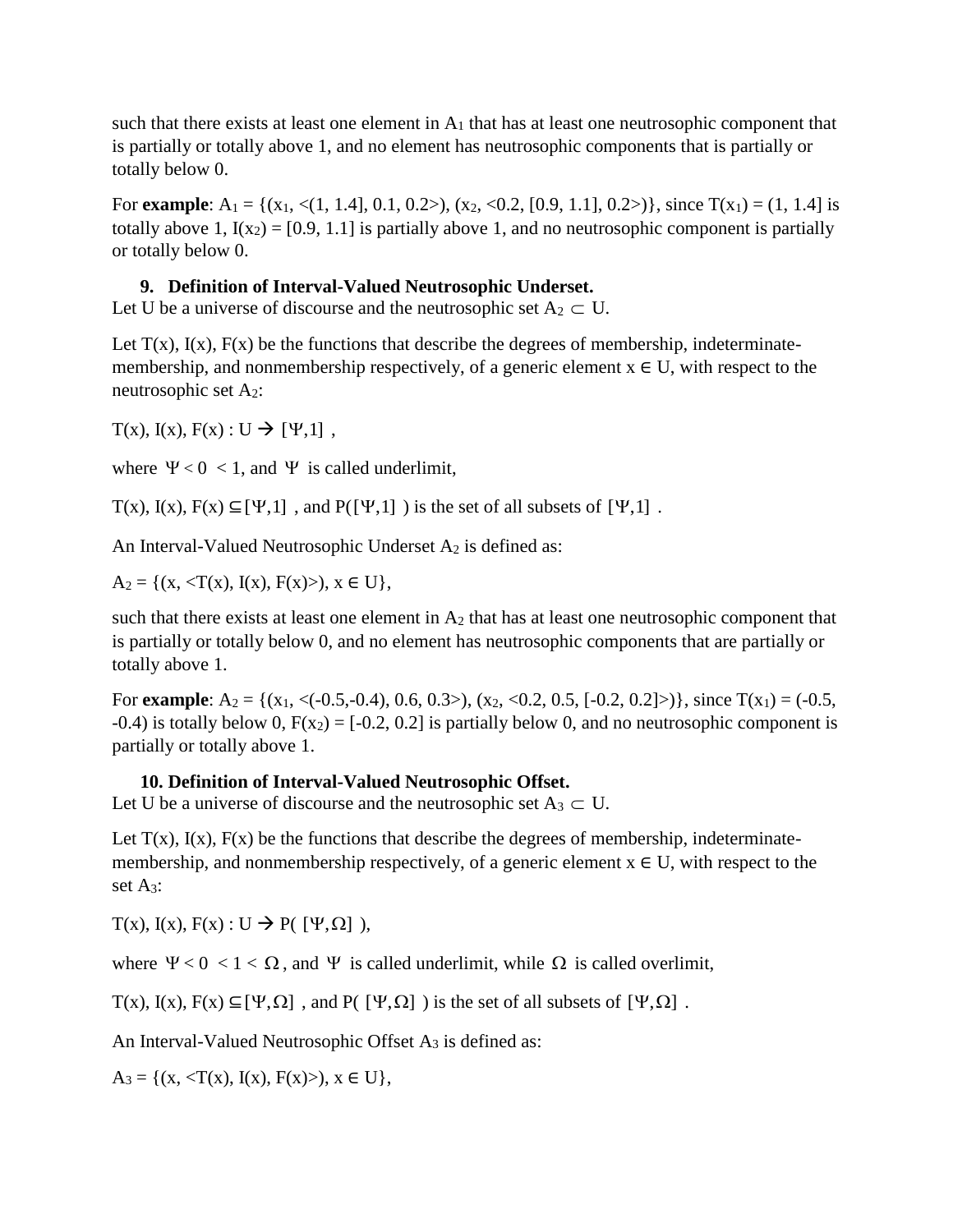such that there exists at least one element in  $A_1$  that has at least one neutrosophic component that is partially or totally above 1, and no element has neutrosophic components that is partially or totally below 0.

For **example**: A<sub>1</sub> = {(x<sub>1</sub>, <(1, 1.4], 0.1, 0.2>), (x<sub>2</sub>, <0.2, [0.9, 1.1], 0.2>)}, since T(x<sub>1</sub>) = (1, 1.4] is totally above 1,  $I(x_2) = [0.9, 1.1]$  is partially above 1, and no neutrosophic component is partially or totally below 0.

### **9. Definition of Interval-Valued Neutrosophic Underset.**

Let U be a universe of discourse and the neutrosophic set  $A_2 \subset U$ .

Let  $T(x)$ ,  $I(x)$ ,  $F(x)$  be the functions that describe the degrees of membership, indeterminatemembership, and nonmembership respectively, of a generic element  $x \in U$ , with respect to the neutrosophic set A2:

 $T(x)$ ,  $I(x)$ ,  $F(x)$ :  $U \rightarrow [Y,1]$ ,

where  $\Psi < 0 < 1$ , and  $\Psi$  is called underlimit,

 $T(x)$ ,  $I(x)$ ,  $F(x) \subseteq [\Psi,1]$ , and  $P([\Psi,1])$  is the set of all subsets of  $[\Psi,1]$ .

An Interval-Valued Neutrosophic Underset A<sub>2</sub> is defined as:

 $A_2 = \{(x, \langle T(x), I(x), F(x) \rangle), x \in U\},\$ 

such that there exists at least one element in  $A_2$  that has at least one neutrosophic component that is partially or totally below 0, and no element has neutrosophic components that are partially or totally above 1.

For **example**:  $A_2 = \{(x_1, \langle (-0.5, -0.4), 0.6, 0.3 \rangle), (x_2, \langle 0.2, 0.5, [-0.2, 0.2] \rangle)\}\)$ , since  $T(x_1) = (-0.5, -0.4)$ -0.4) is totally below 0,  $F(x_2) = [-0.2, 0.2]$  is partially below 0, and no neutrosophic component is partially or totally above 1.

### **10. Definition of Interval-Valued Neutrosophic Offset.**

Let U be a universe of discourse and the neutrosophic set  $A_3 \subset U$ .

Let  $T(x)$ ,  $I(x)$ ,  $F(x)$  be the functions that describe the degrees of membership, indeterminatemembership, and nonmembership respectively, of a generic element  $x \in U$ , with respect to the set A3:

 $T(x)$ ,  $I(x)$ ,  $F(x)$ :  $U \rightarrow P([{\Psi}, {\Omega}]$ ),

where  $\Psi < 0 < 1 < \Omega$ , and  $\Psi$  is called underlimit, while  $\Omega$  is called overlimit,

 $T(x)$ ,  $I(x)$ ,  $F(x) \subseteq [\Psi, \Omega]$ , and  $P([\Psi, \Omega])$  is the set of all subsets of  $[\Psi, \Omega]$ .

An Interval-Valued Neutrosophic Offset  $A_3$  is defined as:

 $A_3 = \{(x, \langle T(x), I(x), F(x) \rangle), x \in U\},\$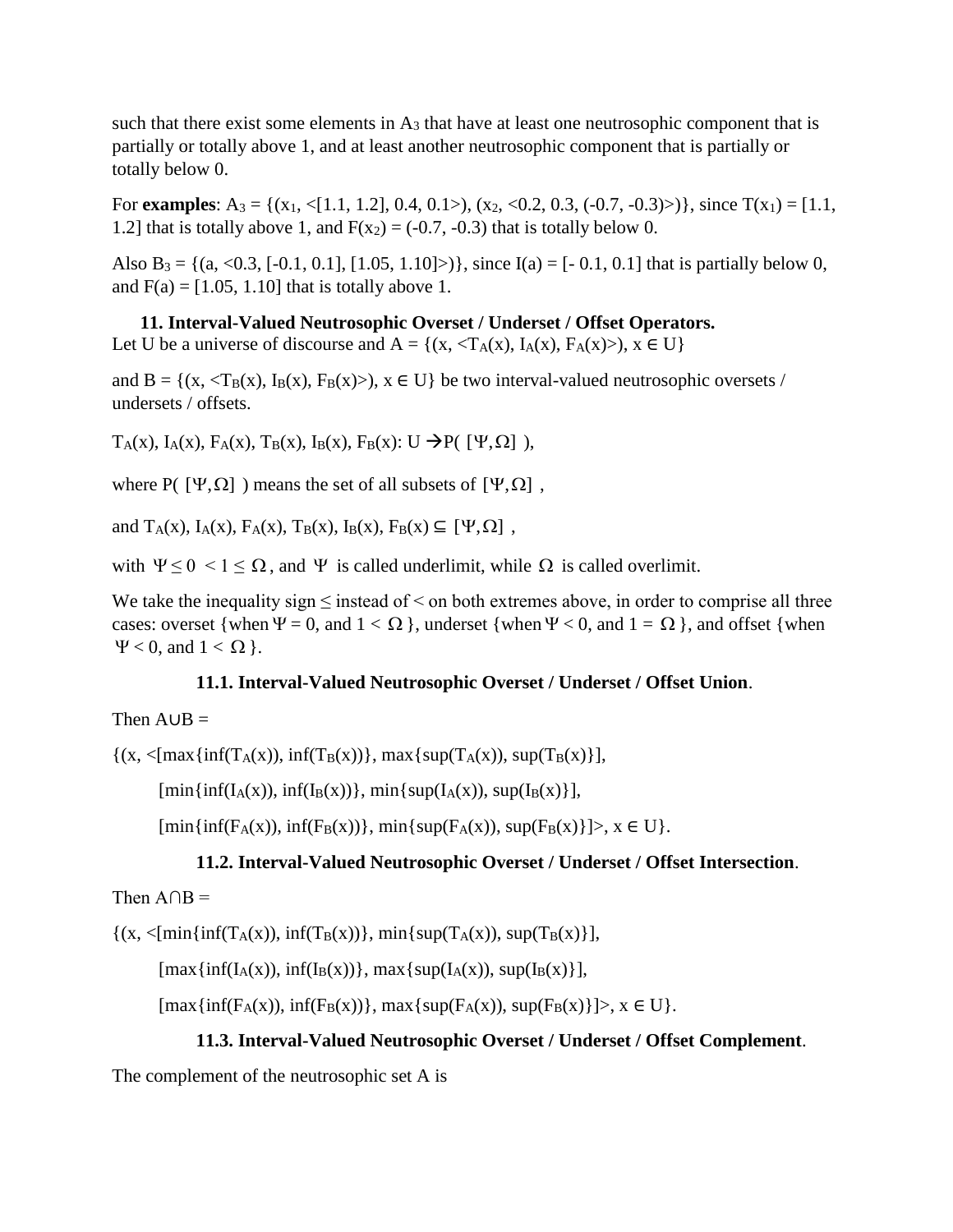such that there exist some elements in  $A_3$  that have at least one neutrosophic component that is partially or totally above 1, and at least another neutrosophic component that is partially or totally below 0.

For **examples**: A<sub>3</sub> = {(x<sub>1</sub>, <[1.1, 1.2], 0.4, 0.1>), (x<sub>2</sub>, <0.2, 0.3, (-0.7, -0.3)>)}, since  $T(x_1) = [1.1,$ 1.2] that is totally above 1, and  $F(x_2) = (-0.7, -0.3)$  that is totally below 0.

Also B<sub>3</sub> = {(a, <0.3, [-0.1, 0.1], [1.05, 1.10]>)}, since I(a) = [-0.1, 0.1] that is partially below 0, and  $F(a) = [1.05, 1.10]$  that is totally above 1.

**11. Interval-Valued Neutrosophic Overset / Underset / Offset Operators.** Let U be a universe of discourse and  $A = \{(x, \langle T_A(x), I_A(x), F_A(x) \rangle), x \in U\}$ 

and  $B = \{(x, \langle T_B(x), I_B(x), F_B(x)\rangle), x \in U\}$  be two interval-valued neutrosophic oversets / undersets / offsets.

 $T_A(x)$ ,  $I_A(x)$ ,  $F_A(x)$ ,  $T_B(x)$ ,  $I_B(x)$ ,  $F_B(x)$ : U  $\rightarrow P$ ( [ $\Psi, \Omega$ ]),

where  $P(\Psi,\Omega)$  ) means the set of all subsets of  $[\Psi,\Omega]$ ,

and  $T_A(x)$ ,  $I_A(x)$ ,  $F_A(x)$ ,  $T_B(x)$ ,  $I_B(x)$ ,  $F_B(x) \subseteq [\Psi, \Omega]$ ,

with  $\Psi \leq 0 < 1 \leq \Omega$ , and  $\Psi$  is called underlimit, while  $\Omega$  is called overlimit.

We take the inequality sign  $\leq$  instead of  $\leq$  on both extremes above, in order to comprise all three cases: overset {when  $\Psi = 0$ , and  $1 < \Omega$ }, underset {when  $\Psi < 0$ , and  $1 = \Omega$ }, and offset {when  $\Psi$  < 0, and 1 <  $\Omega$  }.

### **11.1. Interval-Valued Neutrosophic Overset / Underset / Offset Union**.

### Then  $A \cup B =$

 $\{(x, \langle \max\{\inf(T_A(x)), \inf(T_B(x))\}, \max\{\sup(T_A(x)), \sup(T_B(x)\}\},\)$ 

 $[\min{\inf(I_A(x))}, \inf(I_B(x))\}, \min{\sup(I_A(x))}, \sup(I_B(x))\},$ 

 $[\min{\inf(F_A(x))}, \inf(F_B(x))\}, \min{\sup(F_A(x))}, \sup(F_B(x)]\}$ ,  $x \in U$ .

### **11.2. Interval-Valued Neutrosophic Overset / Underset / Offset Intersection**.

### Then  $A \cap B =$

 $\{(x, \langle \min\{\inf(T_A(x)), \inf(T_B(x))\}, \min\{\sup(T_A(x)), \sup(T_B(x)\}\}\)$ 

 $[\max\{ \inf(I_A(x)), \inf(I_B(x)) \}, \max\{ \sup(I_A(x)), \sup(I_B(x)) \},$ 

 $[\max{\inf(F_A(x))}, \inf(F_B(x))\}, \max{\sup(F_A(x))}, \sup(F_B(x)]\}$ ,  $x \in U$ .

### **11.3. Interval-Valued Neutrosophic Overset / Underset / Offset Complement**.

The complement of the neutrosophic set A is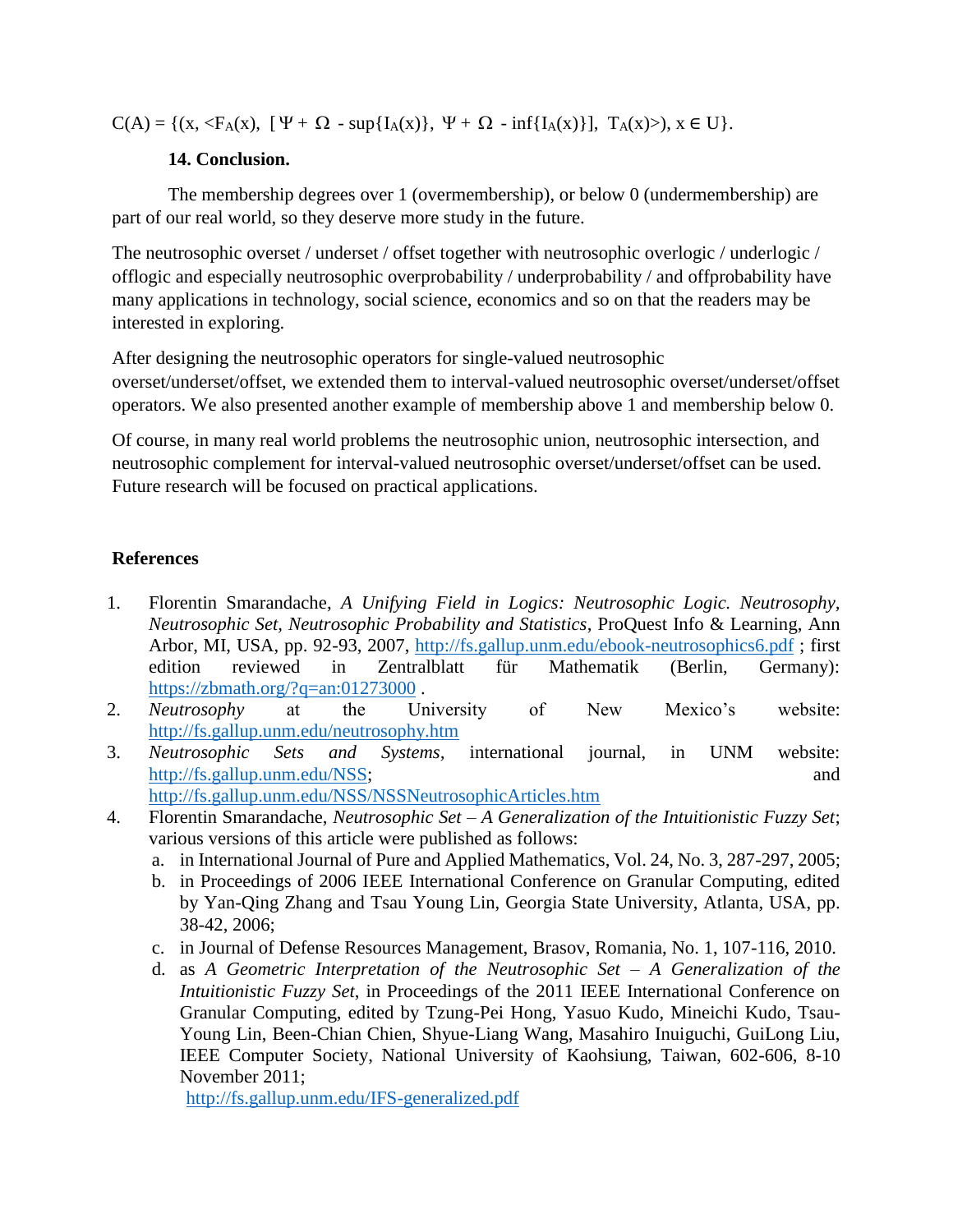$C(A) = \{(x, \langle F_A(x), [ \Psi + \Omega - \sup\{I_A(x)\}, \Psi + \Omega - \inf\{I_A(x)\}\], T_A(x) >), x \in U\}.$ 

### **14. Conclusion.**

The membership degrees over 1 (overmembership), or below 0 (undermembership) are part of our real world, so they deserve more study in the future.

The neutrosophic overset / underset / offset together with neutrosophic overlogic / underlogic / offlogic and especially neutrosophic overprobability / underprobability / and offprobability have many applications in technology, social science, economics and so on that the readers may be interested in exploring.

After designing the neutrosophic operators for single-valued neutrosophic overset/underset/offset, we extended them to interval-valued neutrosophic overset/underset/offset operators. We also presented another example of membership above 1 and membership below 0.

Of course, in many real world problems the neutrosophic union, neutrosophic intersection, and neutrosophic complement for interval-valued neutrosophic overset/underset/offset can be used. Future research will be focused on practical applications.

## **References**

- 1. Florentin Smarandache, *A Unifying Field in Logics: Neutrosophic Logic. Neutrosophy, Neutrosophic Set, Neutrosophic Probability and Statistics*, ProQuest Info & Learning, Ann Arbor, MI, USA, pp. 92-93, 2007,<http://fs.gallup.unm.edu/ebook-neutrosophics6.pdf> ; first edition reviewed in Zentralblatt für Mathematik (Berlin, Germany): <https://zbmath.org/?q=an:01273000>.
- 2. *Neutrosophy* at the University of New Mexico's website: <http://fs.gallup.unm.edu/neutrosophy.htm>
- 3. *Neutrosophic Sets and Systems,* international journal, in UNM website: [http://fs.gallup.unm.edu/NSS;](http://fs.gallup.unm.edu/NSS) and <http://fs.gallup.unm.edu/NSS/NSSNeutrosophicArticles.htm>
- 4. Florentin Smarandache, *Neutrosophic Set – A Generalization of the Intuitionistic Fuzzy Set*; various versions of this article were published as follows:
	- a. in International Journal of Pure and Applied Mathematics, Vol. 24, No. 3, 287-297, 2005;
	- b. in Proceedings of 2006 IEEE International Conference on Granular Computing, edited by Yan-Qing Zhang and Tsau Young Lin, Georgia State University, Atlanta, USA, pp. 38-42, 2006;
	- c. in Journal of Defense Resources Management, Brasov, Romania, No. 1, 107-116, 2010.
	- d. as *A Geometric Interpretation of the Neutrosophic Set – A Generalization of the Intuitionistic Fuzzy Set*, in Proceedings of the 2011 IEEE International Conference on Granular Computing, edited by Tzung-Pei Hong, Yasuo Kudo, Mineichi Kudo, Tsau-Young Lin, Been-Chian Chien, Shyue-Liang Wang, Masahiro Inuiguchi, GuiLong Liu, IEEE Computer Society, National University of Kaohsiung, Taiwan, 602-606, 8-10 November 2011;

<http://fs.gallup.unm.edu/IFS-generalized.pdf>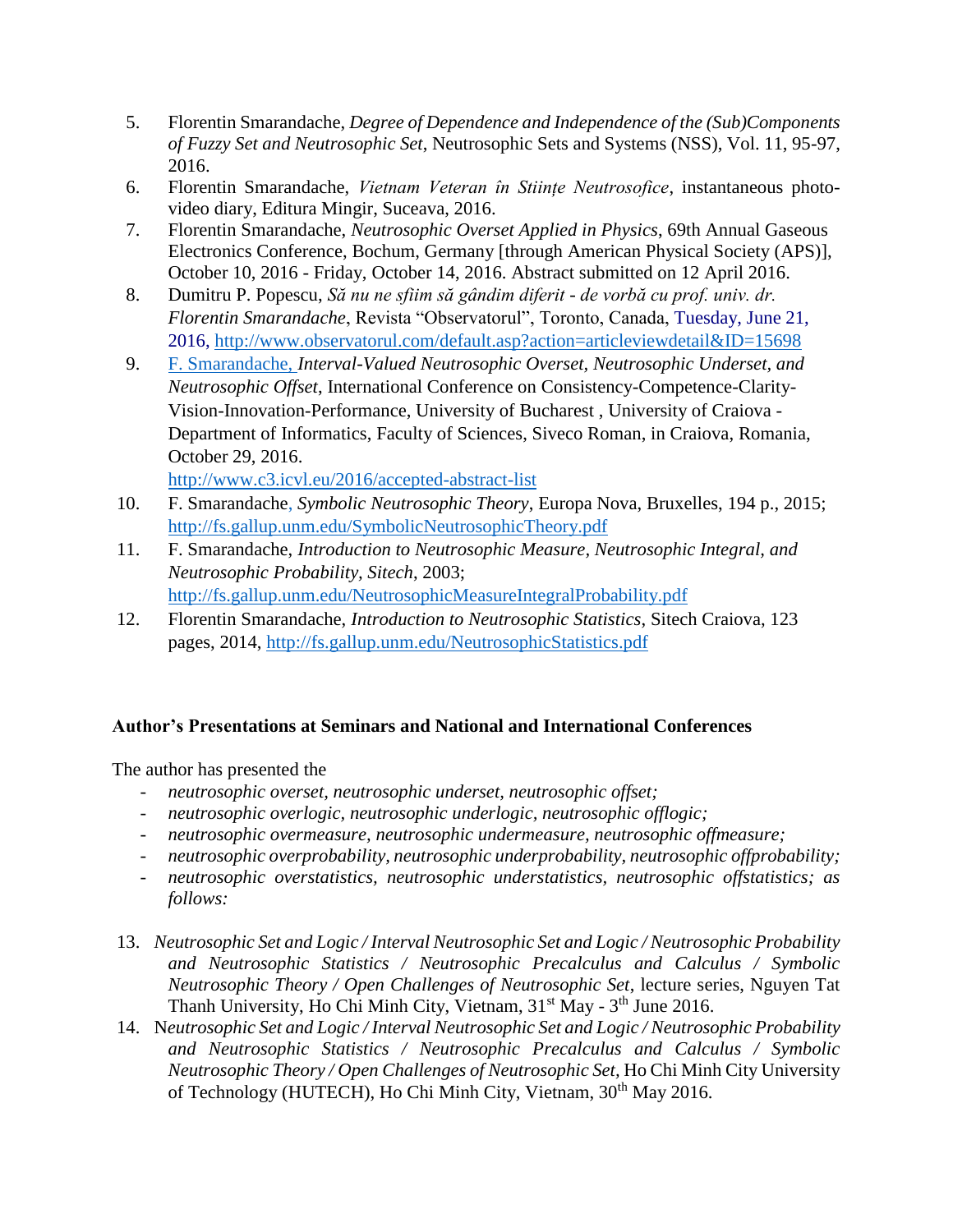- 5. Florentin Smarandache, *Degree of Dependence and Independence of the (Sub)Components of Fuzzy Set and Neutrosophic Set*, Neutrosophic Sets and Systems (NSS), Vol. 11, 95-97, 2016.
- 6. Florentin Smarandache, *Vietnam Veteran în Stiințe Neutrosofice*, instantaneous photovideo diary, Editura Mingir, Suceava, 2016.
- 7. Florentin Smarandache, *Neutrosophic Overset Applied in Physics*, 69th Annual Gaseous Electronics Conference, Bochum, Germany [through American Physical Society (APS)], October 10, 2016 - Friday, October 14, 2016. Abstract submitted on 12 April 2016.
- 8. Dumitru P. Popescu, *Să nu ne sfiim să gândim diferit - de vorbă cu prof. univ. dr. Florentin Smarandache*, Revista "Observatorul", Toronto, Canada, Tuesday, June 21, 2016,<http://www.observatorul.com/default.asp?action=articleviewdetail&ID=15698>
- 9. F. Smarandache, *Interval-Valued Neutrosophic Overset, Neutrosophic Underset, and Neutrosophic Offset*, International Conference on Consistency-Competence-Clarity-Vision-Innovation-Performance, [University of Bucharest ,](http://www.unibuc.ro/) [University of Craiova](http://www.ucv.ro/en/) - [Department of Informatics,](http://inf.ucv.ro/) [Faculty of Sciences,](http://stiinte.ucv.ro/) [Siveco Roman,](http://www.siveco.ro/) in Craiova, Romania, October 29, 2016.

<http://www.c3.icvl.eu/2016/accepted-abstract-list>

- 10. F. Smarandache, *Symbolic Neutrosophic Theory*, Europa Nova, Bruxelles, 194 p., 2015; <http://fs.gallup.unm.edu/SymbolicNeutrosophicTheory.pdf>
- 11. F. Smarandache, *Introduction to Neutrosophic Measure, Neutrosophic Integral, and Neutrosophic Probability, Sitech*, 2003; <http://fs.gallup.unm.edu/NeutrosophicMeasureIntegralProbability.pdf>
- 12. Florentin Smarandache, *Introduction to Neutrosophic Statistics*, Sitech Craiova, 123 pages, 2014,<http://fs.gallup.unm.edu/NeutrosophicStatistics.pdf>

### **Author's Presentations at Seminars and National and International Conferences**

The author has presented the

- *neutrosophic overset, neutrosophic underset, neutrosophic offset;*
- *neutrosophic overlogic, neutrosophic underlogic, neutrosophic offlogic;*
- *neutrosophic overmeasure, neutrosophic undermeasure, neutrosophic offmeasure;*
- *neutrosophic overprobability, neutrosophic underprobability, neutrosophic offprobability;*
- *neutrosophic overstatistics, neutrosophic understatistics, neutrosophic offstatistics; as follows:*
- 13. *Neutrosophic Set and Logic / Interval Neutrosophic Set and Logic / Neutrosophic Probability and Neutrosophic Statistics / Neutrosophic Precalculus and Calculus / Symbolic Neutrosophic Theory / Open Challenges of Neutrosophic Set*, lecture series, Nguyen Tat Thanh University, Ho Chi Minh City, Vietnam, 31<sup>st</sup> May - 3<sup>th</sup> June 2016.
- 14. N*eutrosophic Set and Logic / Interval Neutrosophic Set and Logic / Neutrosophic Probability and Neutrosophic Statistics / Neutrosophic Precalculus and Calculus / Symbolic Neutrosophic Theory / Open Challenges of Neutrosophic Set,* Ho Chi Minh City University of Technology (HUTECH), Ho Chi Minh City, Vietnam, 30<sup>th</sup> May 2016.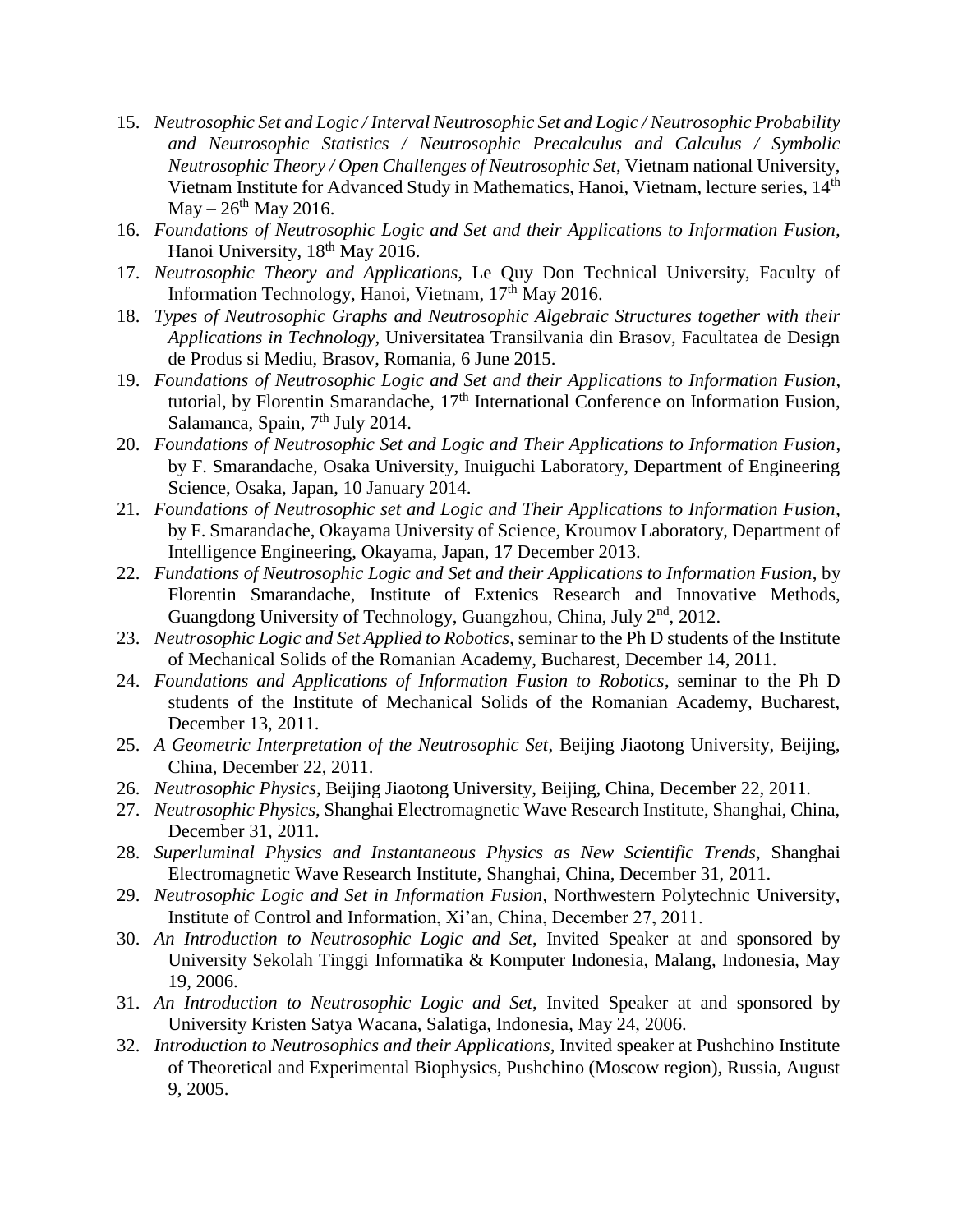- 15. *Neutrosophic Set and Logic / Interval Neutrosophic Set and Logic / Neutrosophic Probability and Neutrosophic Statistics / Neutrosophic Precalculus and Calculus / Symbolic Neutrosophic Theory / Open Challenges of Neutrosophic Set*, Vietnam national University, Vietnam Institute for Advanced Study in Mathematics, Hanoi, Vietnam, lecture series, 14<sup>th</sup>  $\text{May} - 26^{\text{th}} \text{May} 2016.$
- 16. *Foundations of Neutrosophic Logic and Set and their Applications to Information Fusion,*  Hanoi University, 18<sup>th</sup> May 2016.
- 17. *Neutrosophic Theory and Applications,* Le Quy Don Technical University, Faculty of Information Technology, Hanoi, Vietnam, 17<sup>th</sup> May 2016.
- 18. *Types of Neutrosophic Graphs and Neutrosophic Algebraic Structures together with their Applications in Technology*, Universitatea Transilvania din Brasov, Facultatea de Design de Produs si Mediu, Brasov, Romania, 6 June 2015.
- 19. *Foundations of Neutrosophic Logic and Set and their Applications to Information Fusion*, tutorial, by Florentin Smarandache, 17<sup>th</sup> International Conference on Information Fusion, Salamanca, Spain,  $7<sup>th</sup>$  July 2014.
- 20. *Foundations of Neutrosophic Set and Logic and Their Applications to Information Fusion*, by F. Smarandache, Osaka University, Inuiguchi Laboratory, Department of Engineering Science, Osaka, Japan, 10 January 2014.
- 21. *Foundations of Neutrosophic set and Logic and Their Applications to Information Fusion*, by F. Smarandache, Okayama University of Science, Kroumov Laboratory, Department of Intelligence Engineering, Okayama, Japan, 17 December 2013.
- 22. *Fundations of Neutrosophic Logic and Set and their Applications to Information Fusion*, by Florentin Smarandache, Institute of Extenics Research and Innovative Methods, Guangdong University of Technology, Guangzhou, China, July  $2<sup>nd</sup>$ , 2012.
- 23. *Neutrosophic Logic and Set Applied to Robotics*, seminar to the Ph D students of the Institute of Mechanical Solids of the Romanian Academy, Bucharest, December 14, 2011.
- 24. *Foundations and Applications of Information Fusion to Robotics*, seminar to the Ph D students of the Institute of Mechanical Solids of the Romanian Academy, Bucharest, December 13, 2011.
- 25. *A Geometric Interpretation of the Neutrosophic Set*, Beijing Jiaotong University, Beijing, China, December 22, 2011.
- 26. *Neutrosophic Physics*, Beijing Jiaotong University, Beijing, China, December 22, 2011.
- 27. *Neutrosophic Physics*, Shanghai Electromagnetic Wave Research Institute, Shanghai, China, December 31, 2011.
- 28. *Superluminal Physics and Instantaneous Physics as New Scientific Trends*, Shanghai Electromagnetic Wave Research Institute, Shanghai, China, December 31, 2011.
- 29. *Neutrosophic Logic and Set in Information Fusion*, Northwestern Polytechnic University, Institute of Control and Information, Xi'an, China, December 27, 2011.
- 30. *An Introduction to Neutrosophic Logic and Set*, Invited Speaker at and sponsored by University Sekolah Tinggi Informatika & Komputer Indonesia, Malang, Indonesia, May 19, 2006.
- 31. *An Introduction to Neutrosophic Logic and Set*, Invited Speaker at and sponsored by University Kristen Satya Wacana, Salatiga, Indonesia, May 24, 2006.
- 32. *Introduction to Neutrosophics and their Applications*, Invited speaker at Pushchino Institute of Theoretical and Experimental Biophysics, Pushchino (Moscow region), Russia, August 9, 2005.